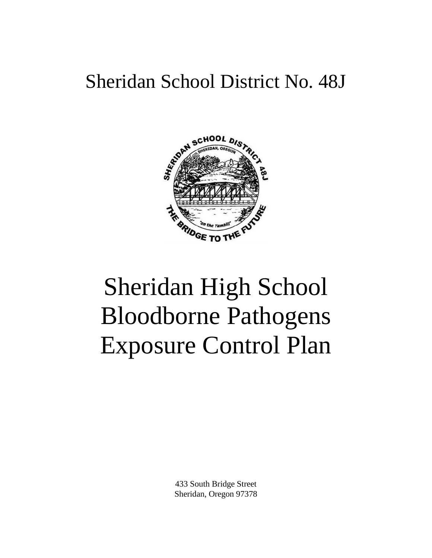# Sheridan School District No. 48J



# Sheridan High School Bloodborne Pathogens Exposure Control Plan

433 South Bridge Street Sheridan, Oregon 97378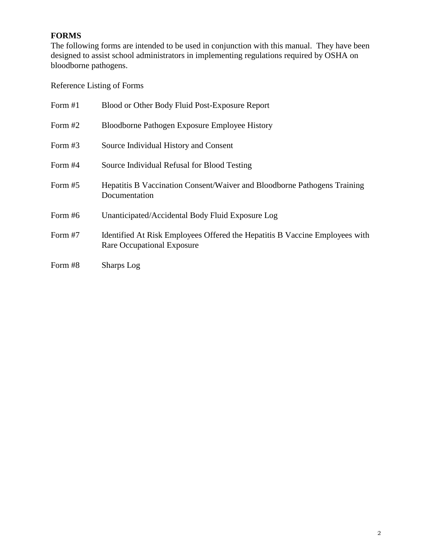# **FORMS**

The following forms are intended to be used in conjunction with this manual. They have been designed to assist school administrators in implementing regulations required by OSHA on bloodborne pathogens.

Reference Listing of Forms

| Form #1   | Blood or Other Body Fluid Post-Exposure Report                                                            |
|-----------|-----------------------------------------------------------------------------------------------------------|
| Form $#2$ | Bloodborne Pathogen Exposure Employee History                                                             |
| Form $#3$ | Source Individual History and Consent                                                                     |
| Form $#4$ | Source Individual Refusal for Blood Testing                                                               |
| Form #5   | Hepatitis B Vaccination Consent/Waiver and Bloodborne Pathogens Training<br>Documentation                 |
| Form #6   | Unanticipated/Accidental Body Fluid Exposure Log                                                          |
| Form #7   | Identified At Risk Employees Offered the Hepatitis B Vaccine Employees with<br>Rare Occupational Exposure |
| Form #8   | <b>Sharps</b> Log                                                                                         |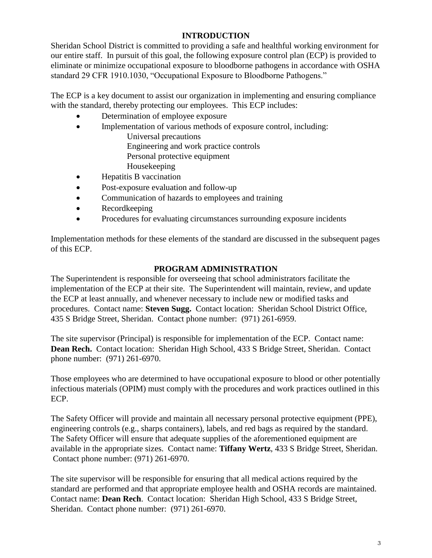# **INTRODUCTION**

Sheridan School District is committed to providing a safe and healthful working environment for our entire staff. In pursuit of this goal, the following exposure control plan (ECP) is provided to eliminate or minimize occupational exposure to bloodborne pathogens in accordance with OSHA standard 29 CFR 1910.1030, "Occupational Exposure to Bloodborne Pathogens."

The ECP is a key document to assist our organization in implementing and ensuring compliance with the standard, thereby protecting our employees. This ECP includes:

- Determination of employee exposure
- Implementation of various methods of exposure control, including:
	- Universal precautions Engineering and work practice controls
		- Personal protective equipment
		- Housekeeping
- Hepatitis B vaccination
- Post-exposure evaluation and follow-up
- Communication of hazards to employees and training
- Recordkeeping
- Procedures for evaluating circumstances surrounding exposure incidents

Implementation methods for these elements of the standard are discussed in the subsequent pages of this ECP.

# **PROGRAM ADMINISTRATION**

The Superintendent is responsible for overseeing that school administrators facilitate the implementation of the ECP at their site. The Superintendent will maintain, review, and update the ECP at least annually, and whenever necessary to include new or modified tasks and procedures. Contact name: **Steven Sugg.** Contact location: Sheridan School District Office, 435 S Bridge Street, Sheridan. Contact phone number: (971) 261-6959.

The site supervisor (Principal) is responsible for implementation of the ECP. Contact name: **Dean Rech.** Contact location: Sheridan High School, 433 S Bridge Street, Sheridan. Contact phone number: (971) 261-6970.

Those employees who are determined to have occupational exposure to blood or other potentially infectious materials (OPIM) must comply with the procedures and work practices outlined in this ECP.

The Safety Officer will provide and maintain all necessary personal protective equipment (PPE), engineering controls (e.g., sharps containers), labels, and red bags as required by the standard. The Safety Officer will ensure that adequate supplies of the aforementioned equipment are available in the appropriate sizes. Contact name: **Tiffany Wertz**, 433 S Bridge Street, Sheridan. Contact phone number: (971) 261-6970.

The site supervisor will be responsible for ensuring that all medical actions required by the standard are performed and that appropriate employee health and OSHA records are maintained. Contact name: **Dean Rech**. Contact location: Sheridan High School, 433 S Bridge Street, Sheridan. Contact phone number: (971) 261-6970.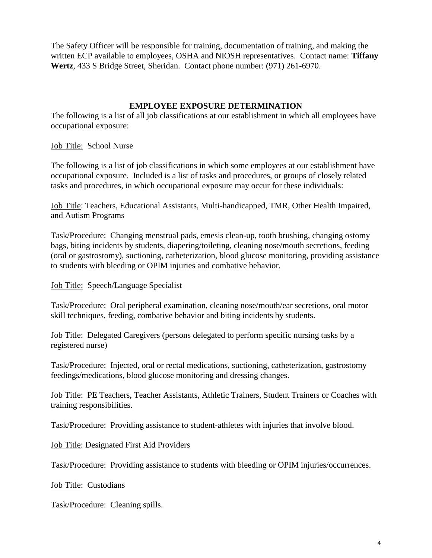The Safety Officer will be responsible for training, documentation of training, and making the written ECP available to employees, OSHA and NIOSH representatives. Contact name: **Tiffany Wertz**, 433 S Bridge Street, Sheridan. Contact phone number: (971) 261-6970.

#### **EMPLOYEE EXPOSURE DETERMINATION**

The following is a list of all job classifications at our establishment in which all employees have occupational exposure:

Job Title: School Nurse

The following is a list of job classifications in which some employees at our establishment have occupational exposure. Included is a list of tasks and procedures, or groups of closely related tasks and procedures, in which occupational exposure may occur for these individuals:

Job Title: Teachers, Educational Assistants, Multi-handicapped, TMR, Other Health Impaired, and Autism Programs

Task/Procedure: Changing menstrual pads, emesis clean-up, tooth brushing, changing ostomy bags, biting incidents by students, diapering/toileting, cleaning nose/mouth secretions, feeding (oral or gastrostomy), suctioning, catheterization, blood glucose monitoring, providing assistance to students with bleeding or OPIM injuries and combative behavior.

Job Title: Speech/Language Specialist

Task/Procedure: Oral peripheral examination, cleaning nose/mouth/ear secretions, oral motor skill techniques, feeding, combative behavior and biting incidents by students.

Job Title: Delegated Caregivers (persons delegated to perform specific nursing tasks by a registered nurse)

Task/Procedure: Injected, oral or rectal medications, suctioning, catheterization, gastrostomy feedings/medications, blood glucose monitoring and dressing changes.

Job Title: PE Teachers, Teacher Assistants, Athletic Trainers, Student Trainers or Coaches with training responsibilities.

Task/Procedure: Providing assistance to student-athletes with injuries that involve blood.

Job Title: Designated First Aid Providers

Task/Procedure: Providing assistance to students with bleeding or OPIM injuries/occurrences.

Job Title: Custodians

Task/Procedure: Cleaning spills.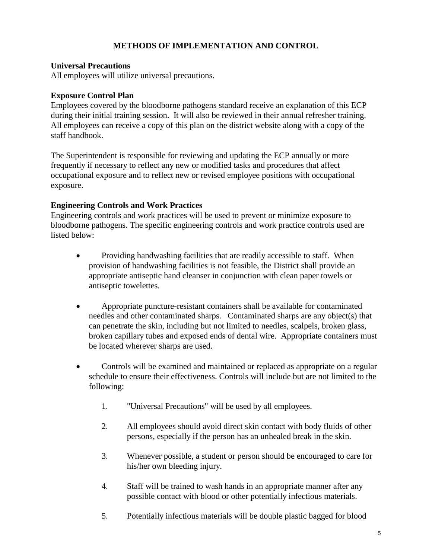#### **METHODS OF IMPLEMENTATION AND CONTROL**

#### **Universal Precautions**

All employees will utilize universal precautions.

#### **Exposure Control Plan**

Employees covered by the bloodborne pathogens standard receive an explanation of this ECP during their initial training session. It will also be reviewed in their annual refresher training. All employees can receive a copy of this plan on the district website along with a copy of the staff handbook.

The Superintendent is responsible for reviewing and updating the ECP annually or more frequently if necessary to reflect any new or modified tasks and procedures that affect occupational exposure and to reflect new or revised employee positions with occupational exposure.

#### **Engineering Controls and Work Practices**

Engineering controls and work practices will be used to prevent or minimize exposure to bloodborne pathogens. The specific engineering controls and work practice controls used are listed below:

- Providing handwashing facilities that are readily accessible to staff. When provision of handwashing facilities is not feasible, the District shall provide an appropriate antiseptic hand cleanser in conjunction with clean paper towels or antiseptic towelettes.
- Appropriate puncture-resistant containers shall be available for contaminated needles and other contaminated sharps. Contaminated sharps are any object(s) that can penetrate the skin, including but not limited to needles, scalpels, broken glass, broken capillary tubes and exposed ends of dental wire. Appropriate containers must be located wherever sharps are used.
- Controls will be examined and maintained or replaced as appropriate on a regular schedule to ensure their effectiveness. Controls will include but are not limited to the following:
	- 1. "Universal Precautions" will be used by all employees.
	- 2. All employees should avoid direct skin contact with body fluids of other persons, especially if the person has an unhealed break in the skin.
	- 3. Whenever possible, a student or person should be encouraged to care for his/her own bleeding injury.
	- 4. Staff will be trained to wash hands in an appropriate manner after any possible contact with blood or other potentially infectious materials.
	- 5. Potentially infectious materials will be double plastic bagged for blood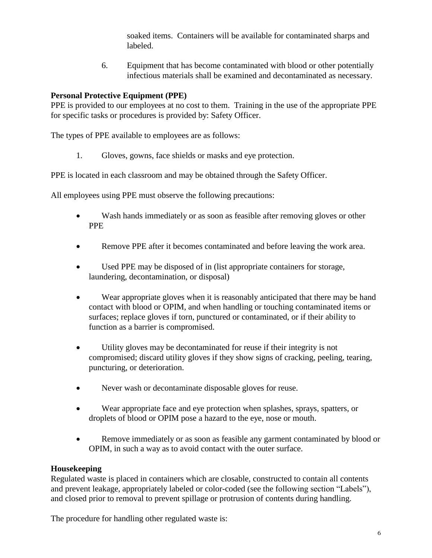soaked items. Containers will be available for contaminated sharps and labeled.

6. Equipment that has become contaminated with blood or other potentially infectious materials shall be examined and decontaminated as necessary.

# **Personal Protective Equipment (PPE)**

PPE is provided to our employees at no cost to them. Training in the use of the appropriate PPE for specific tasks or procedures is provided by: Safety Officer.

The types of PPE available to employees are as follows:

1. Gloves, gowns, face shields or masks and eye protection.

PPE is located in each classroom and may be obtained through the Safety Officer.

All employees using PPE must observe the following precautions:

- Wash hands immediately or as soon as feasible after removing gloves or other PPE
- Remove PPE after it becomes contaminated and before leaving the work area.
- Used PPE may be disposed of in (list appropriate containers for storage, laundering, decontamination, or disposal)
- Wear appropriate gloves when it is reasonably anticipated that there may be hand contact with blood or OPIM, and when handling or touching contaminated items or surfaces; replace gloves if torn, punctured or contaminated, or if their ability to function as a barrier is compromised.
- Utility gloves may be decontaminated for reuse if their integrity is not compromised; discard utility gloves if they show signs of cracking, peeling, tearing, puncturing, or deterioration.
- Never wash or decontaminate disposable gloves for reuse.
- Wear appropriate face and eye protection when splashes, sprays, spatters, or droplets of blood or OPIM pose a hazard to the eye, nose or mouth.
- Remove immediately or as soon as feasible any garment contaminated by blood or OPIM, in such a way as to avoid contact with the outer surface.

#### **Housekeeping**

Regulated waste is placed in containers which are closable, constructed to contain all contents and prevent leakage, appropriately labeled or color-coded (see the following section "Labels"), and closed prior to removal to prevent spillage or protrusion of contents during handling.

The procedure for handling other regulated waste is: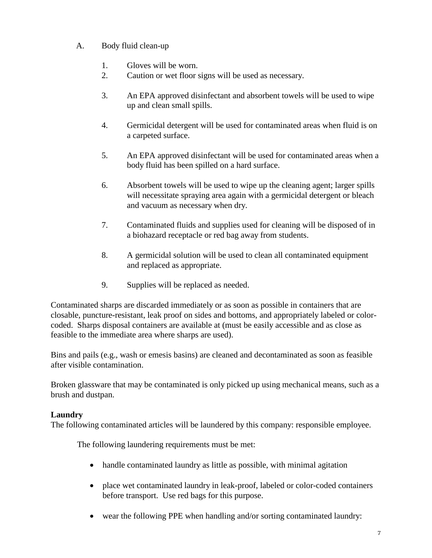# A. Body fluid clean-up

- 1. Gloves will be worn.
- 2. Caution or wet floor signs will be used as necessary.
- 3. An EPA approved disinfectant and absorbent towels will be used to wipe up and clean small spills.
- 4. Germicidal detergent will be used for contaminated areas when fluid is on a carpeted surface.
- 5. An EPA approved disinfectant will be used for contaminated areas when a body fluid has been spilled on a hard surface.
- 6. Absorbent towels will be used to wipe up the cleaning agent; larger spills will necessitate spraying area again with a germicidal detergent or bleach and vacuum as necessary when dry.
- 7. Contaminated fluids and supplies used for cleaning will be disposed of in a biohazard receptacle or red bag away from students.
- 8. A germicidal solution will be used to clean all contaminated equipment and replaced as appropriate.
- 9. Supplies will be replaced as needed.

Contaminated sharps are discarded immediately or as soon as possible in containers that are closable, puncture-resistant, leak proof on sides and bottoms, and appropriately labeled or colorcoded. Sharps disposal containers are available at (must be easily accessible and as close as feasible to the immediate area where sharps are used).

Bins and pails (e.g., wash or emesis basins) are cleaned and decontaminated as soon as feasible after visible contamination.

Broken glassware that may be contaminated is only picked up using mechanical means, such as a brush and dustpan.

#### **Laundry**

The following contaminated articles will be laundered by this company: responsible employee.

The following laundering requirements must be met:

- handle contaminated laundry as little as possible, with minimal agitation
- place wet contaminated laundry in leak-proof, labeled or color-coded containers before transport. Use red bags for this purpose.
- wear the following PPE when handling and/or sorting contaminated laundry: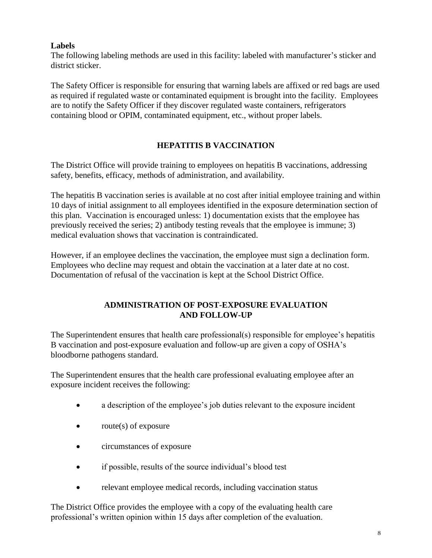# **Labels**

The following labeling methods are used in this facility: labeled with manufacturer's sticker and district sticker.

The Safety Officer is responsible for ensuring that warning labels are affixed or red bags are used as required if regulated waste or contaminated equipment is brought into the facility. Employees are to notify the Safety Officer if they discover regulated waste containers, refrigerators containing blood or OPIM, contaminated equipment, etc., without proper labels.

# **HEPATITIS B VACCINATION**

The District Office will provide training to employees on hepatitis B vaccinations, addressing safety, benefits, efficacy, methods of administration, and availability.

The hepatitis B vaccination series is available at no cost after initial employee training and within 10 days of initial assignment to all employees identified in the exposure determination section of this plan. Vaccination is encouraged unless: 1) documentation exists that the employee has previously received the series; 2) antibody testing reveals that the employee is immune; 3) medical evaluation shows that vaccination is contraindicated.

However, if an employee declines the vaccination, the employee must sign a declination form. Employees who decline may request and obtain the vaccination at a later date at no cost. Documentation of refusal of the vaccination is kept at the School District Office.

# **ADMINISTRATION OF POST-EXPOSURE EVALUATION AND FOLLOW-UP**

The Superintendent ensures that health care professional(s) responsible for employee's hepatitis B vaccination and post-exposure evaluation and follow-up are given a copy of OSHA's bloodborne pathogens standard.

The Superintendent ensures that the health care professional evaluating employee after an exposure incident receives the following:

- a description of the employee's job duties relevant to the exposure incident
- $\bullet$  route(s) of exposure
- circumstances of exposure
- if possible, results of the source individual's blood test
- relevant employee medical records, including vaccination status

The District Office provides the employee with a copy of the evaluating health care professional's written opinion within 15 days after completion of the evaluation.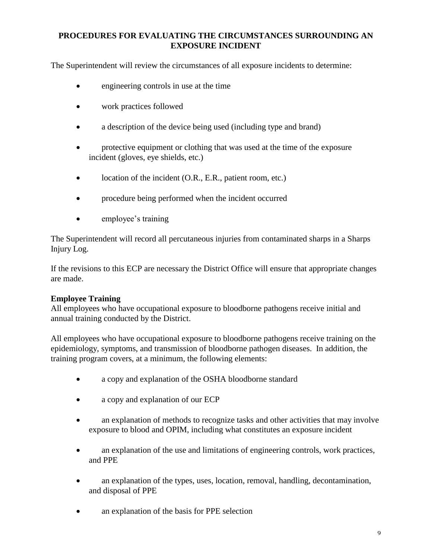# **PROCEDURES FOR EVALUATING THE CIRCUMSTANCES SURROUNDING AN EXPOSURE INCIDENT**

The Superintendent will review the circumstances of all exposure incidents to determine:

- engineering controls in use at the time
- work practices followed
- a description of the device being used (including type and brand)
- protective equipment or clothing that was used at the time of the exposure incident (gloves, eye shields, etc.)
- location of the incident (O.R., E.R., patient room, etc.)
- procedure being performed when the incident occurred
- employee's training

The Superintendent will record all percutaneous injuries from contaminated sharps in a Sharps Injury Log.

If the revisions to this ECP are necessary the District Office will ensure that appropriate changes are made.

#### **Employee Training**

All employees who have occupational exposure to bloodborne pathogens receive initial and annual training conducted by the District.

All employees who have occupational exposure to bloodborne pathogens receive training on the epidemiology, symptoms, and transmission of bloodborne pathogen diseases. In addition, the training program covers, at a minimum, the following elements:

- a copy and explanation of the OSHA bloodborne standard
- a copy and explanation of our ECP
- an explanation of methods to recognize tasks and other activities that may involve exposure to blood and OPIM, including what constitutes an exposure incident
- an explanation of the use and limitations of engineering controls, work practices, and PPE
- an explanation of the types, uses, location, removal, handling, decontamination, and disposal of PPE
- an explanation of the basis for PPE selection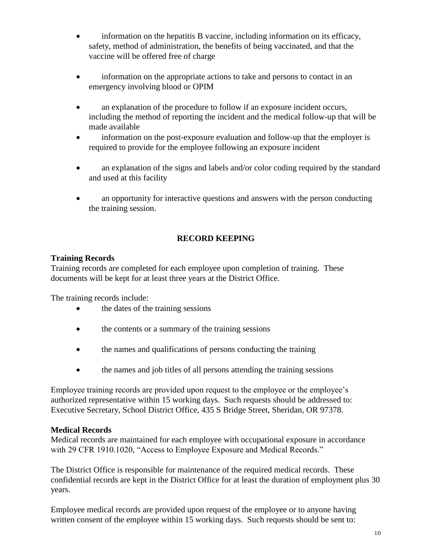- information on the hepatitis B vaccine, including information on its efficacy, safety, method of administration, the benefits of being vaccinated, and that the vaccine will be offered free of charge
- information on the appropriate actions to take and persons to contact in an emergency involving blood or OPIM
- an explanation of the procedure to follow if an exposure incident occurs, including the method of reporting the incident and the medical follow-up that will be made available
- information on the post-exposure evaluation and follow-up that the employer is required to provide for the employee following an exposure incident
- an explanation of the signs and labels and/or color coding required by the standard and used at this facility
- an opportunity for interactive questions and answers with the person conducting the training session.

# **RECORD KEEPING**

# **Training Records**

Training records are completed for each employee upon completion of training. These documents will be kept for at least three years at the District Office.

The training records include:

- the dates of the training sessions
- the contents or a summary of the training sessions
- the names and qualifications of persons conducting the training
- the names and job titles of all persons attending the training sessions

Employee training records are provided upon request to the employee or the employee's authorized representative within 15 working days. Such requests should be addressed to: Executive Secretary, School District Office, 435 S Bridge Street, Sheridan, OR 97378.

#### **Medical Records**

Medical records are maintained for each employee with occupational exposure in accordance with 29 CFR 1910.1020, "Access to Employee Exposure and Medical Records."

The District Office is responsible for maintenance of the required medical records. These confidential records are kept in the District Office for at least the duration of employment plus 30 years.

Employee medical records are provided upon request of the employee or to anyone having written consent of the employee within 15 working days. Such requests should be sent to: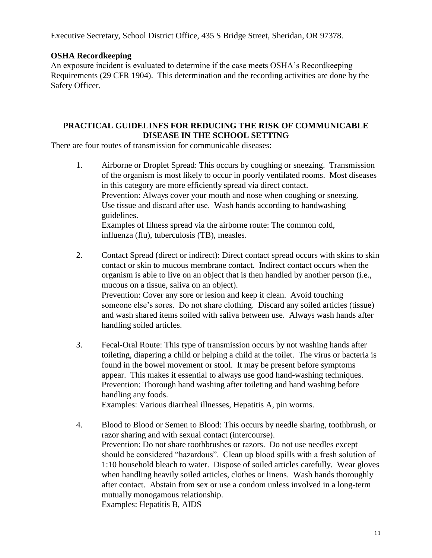Executive Secretary, School District Office, 435 S Bridge Street, Sheridan, OR 97378.

#### **OSHA Recordkeeping**

An exposure incident is evaluated to determine if the case meets OSHA's Recordkeeping Requirements (29 CFR 1904). This determination and the recording activities are done by the Safety Officer.

# **PRACTICAL GUIDELINES FOR REDUCING THE RISK OF COMMUNICABLE DISEASE IN THE SCHOOL SETTING**

There are four routes of transmission for communicable diseases:

- 1. Airborne or Droplet Spread: This occurs by coughing or sneezing. Transmission of the organism is most likely to occur in poorly ventilated rooms. Most diseases in this category are more efficiently spread via direct contact. Prevention: Always cover your mouth and nose when coughing or sneezing. Use tissue and discard after use. Wash hands according to handwashing guidelines. Examples of Illness spread via the airborne route: The common cold, influenza (flu), tuberculosis (TB), measles.
- 2. Contact Spread (direct or indirect): Direct contact spread occurs with skins to skin contact or skin to mucous membrane contact. Indirect contact occurs when the organism is able to live on an object that is then handled by another person (i.e., mucous on a tissue, saliva on an object). Prevention: Cover any sore or lesion and keep it clean. Avoid touching someone else's sores. Do not share clothing. Discard any soiled articles (tissue) and wash shared items soiled with saliva between use. Always wash hands after handling soiled articles.
- 3. Fecal-Oral Route: This type of transmission occurs by not washing hands after toileting, diapering a child or helping a child at the toilet. The virus or bacteria is found in the bowel movement or stool. It may be present before symptoms appear. This makes it essential to always use good hand-washing techniques. Prevention: Thorough hand washing after toileting and hand washing before handling any foods.

Examples: Various diarrheal illnesses, Hepatitis A, pin worms.

4. Blood to Blood or Semen to Blood: This occurs by needle sharing, toothbrush, or razor sharing and with sexual contact (intercourse). Prevention: Do not share toothbrushes or razors. Do not use needles except should be considered "hazardous". Clean up blood spills with a fresh solution of 1:10 household bleach to water. Dispose of soiled articles carefully. Wear gloves when handling heavily soiled articles, clothes or linens. Wash hands thoroughly after contact. Abstain from sex or use a condom unless involved in a long-term mutually monogamous relationship. Examples: Hepatitis B, AIDS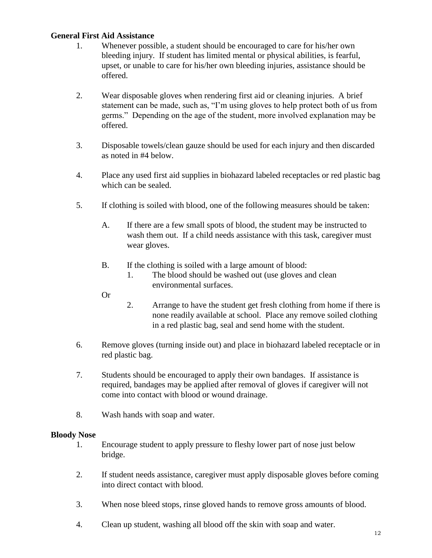#### **General First Aid Assistance**

- 1. Whenever possible, a student should be encouraged to care for his/her own bleeding injury. If student has limited mental or physical abilities, is fearful, upset, or unable to care for his/her own bleeding injuries, assistance should be offered.
- 2. Wear disposable gloves when rendering first aid or cleaning injuries. A brief statement can be made, such as, "I'm using gloves to help protect both of us from germs." Depending on the age of the student, more involved explanation may be offered.
- 3. Disposable towels/clean gauze should be used for each injury and then discarded as noted in #4 below.
- 4. Place any used first aid supplies in biohazard labeled receptacles or red plastic bag which can be sealed.
- 5. If clothing is soiled with blood, one of the following measures should be taken:
	- A. If there are a few small spots of blood, the student may be instructed to wash them out. If a child needs assistance with this task, caregiver must wear gloves.
	- B. If the clothing is soiled with a large amount of blood:
		- 1. The blood should be washed out (use gloves and clean environmental surfaces.
	- Or
- 2. Arrange to have the student get fresh clothing from home if there is none readily available at school. Place any remove soiled clothing in a red plastic bag, seal and send home with the student.
- 6. Remove gloves (turning inside out) and place in biohazard labeled receptacle or in red plastic bag.
- 7. Students should be encouraged to apply their own bandages. If assistance is required, bandages may be applied after removal of gloves if caregiver will not come into contact with blood or wound drainage.
- 8. Wash hands with soap and water.

#### **Bloody Nose**

- 1. Encourage student to apply pressure to fleshy lower part of nose just below bridge.
- 2. If student needs assistance, caregiver must apply disposable gloves before coming into direct contact with blood.
- 3. When nose bleed stops, rinse gloved hands to remove gross amounts of blood.
- 4. Clean up student, washing all blood off the skin with soap and water.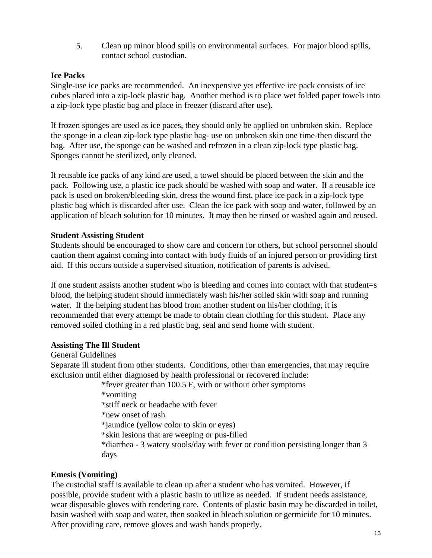5. Clean up minor blood spills on environmental surfaces. For major blood spills, contact school custodian.

#### **Ice Packs**

Single-use ice packs are recommended. An inexpensive yet effective ice pack consists of ice cubes placed into a zip-lock plastic bag. Another method is to place wet folded paper towels into a zip-lock type plastic bag and place in freezer (discard after use).

If frozen sponges are used as ice paces, they should only be applied on unbroken skin. Replace the sponge in a clean zip-lock type plastic bag- use on unbroken skin one time-then discard the bag. After use, the sponge can be washed and refrozen in a clean zip-lock type plastic bag. Sponges cannot be sterilized, only cleaned.

If reusable ice packs of any kind are used, a towel should be placed between the skin and the pack. Following use, a plastic ice pack should be washed with soap and water. If a reusable ice pack is used on broken/bleeding skin, dress the wound first, place ice pack in a zip-lock type plastic bag which is discarded after use. Clean the ice pack with soap and water, followed by an application of bleach solution for 10 minutes. It may then be rinsed or washed again and reused.

#### **Student Assisting Student**

Students should be encouraged to show care and concern for others, but school personnel should caution them against coming into contact with body fluids of an injured person or providing first aid. If this occurs outside a supervised situation, notification of parents is advised.

If one student assists another student who is bleeding and comes into contact with that student=s blood, the helping student should immediately wash his/her soiled skin with soap and running water. If the helping student has blood from another student on his/her clothing, it is recommended that every attempt be made to obtain clean clothing for this student. Place any removed soiled clothing in a red plastic bag, seal and send home with student.

#### **Assisting The Ill Student**

General Guidelines

Separate ill student from other students. Conditions, other than emergencies, that may require exclusion until either diagnosed by health professional or recovered include:

\*fever greater than 100.5 F, with or without other symptoms

\*vomiting \*stiff neck or headache with fever \*new onset of rash \*jaundice (yellow color to skin or eyes) \*skin lesions that are weeping or pus-filled

\*diarrhea - 3 watery stools/day with fever or condition persisting longer than 3 days

#### **Emesis (Vomiting)**

The custodial staff is available to clean up after a student who has vomited. However, if possible, provide student with a plastic basin to utilize as needed. If student needs assistance, wear disposable gloves with rendering care. Contents of plastic basin may be discarded in toilet, basin washed with soap and water, then soaked in bleach solution or germicide for 10 minutes. After providing care, remove gloves and wash hands properly.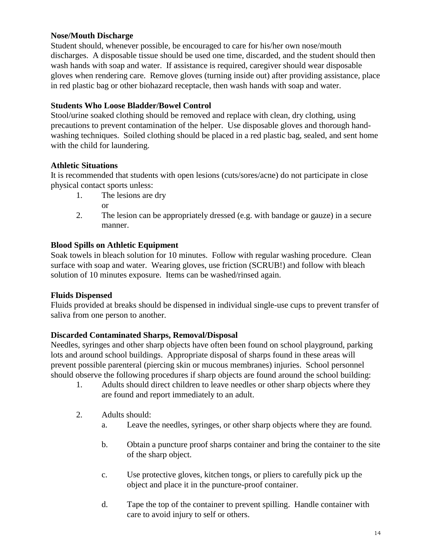#### **Nose/Mouth Discharge**

Student should, whenever possible, be encouraged to care for his/her own nose/mouth discharges. A disposable tissue should be used one time, discarded, and the student should then wash hands with soap and water. If assistance is required, caregiver should wear disposable gloves when rendering care. Remove gloves (turning inside out) after providing assistance, place in red plastic bag or other biohazard receptacle, then wash hands with soap and water.

# **Students Who Loose Bladder/Bowel Control**

Stool/urine soaked clothing should be removed and replace with clean, dry clothing, using precautions to prevent contamination of the helper. Use disposable gloves and thorough handwashing techniques. Soiled clothing should be placed in a red plastic bag, sealed, and sent home with the child for laundering.

# **Athletic Situations**

It is recommended that students with open lesions (cuts/sores/acne) do not participate in close physical contact sports unless:

1. The lesions are dry

or

2. The lesion can be appropriately dressed (e.g. with bandage or gauze) in a secure manner.

# **Blood Spills on Athletic Equipment**

Soak towels in bleach solution for 10 minutes. Follow with regular washing procedure. Clean surface with soap and water. Wearing gloves, use friction (SCRUB!) and follow with bleach solution of 10 minutes exposure. Items can be washed/rinsed again.

# **Fluids Dispensed**

Fluids provided at breaks should be dispensed in individual single-use cups to prevent transfer of saliva from one person to another.

# **Discarded Contaminated Sharps, Removal/Disposal**

Needles, syringes and other sharp objects have often been found on school playground, parking lots and around school buildings. Appropriate disposal of sharps found in these areas will prevent possible parenteral (piercing skin or mucous membranes) injuries. School personnel should observe the following procedures if sharp objects are found around the school building:

- 1. Adults should direct children to leave needles or other sharp objects where they are found and report immediately to an adult.
- 2. Adults should:
	- a. Leave the needles, syringes, or other sharp objects where they are found.
	- b. Obtain a puncture proof sharps container and bring the container to the site of the sharp object.
	- c. Use protective gloves, kitchen tongs, or pliers to carefully pick up the object and place it in the puncture-proof container.
	- d. Tape the top of the container to prevent spilling. Handle container with care to avoid injury to self or others.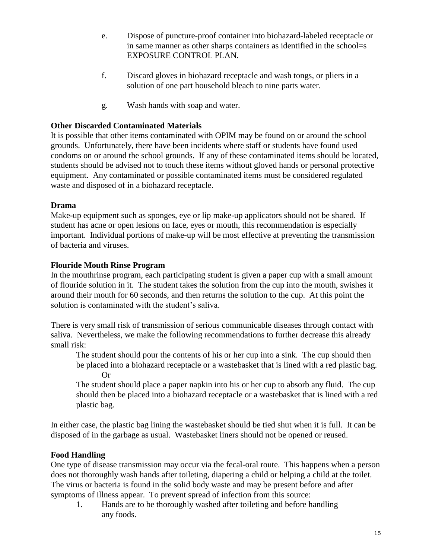- e. Dispose of puncture-proof container into biohazard-labeled receptacle or in same manner as other sharps containers as identified in the school=s EXPOSURE CONTROL PLAN.
- f. Discard gloves in biohazard receptacle and wash tongs, or pliers in a solution of one part household bleach to nine parts water.
- g. Wash hands with soap and water.

# **Other Discarded Contaminated Materials**

It is possible that other items contaminated with OPIM may be found on or around the school grounds. Unfortunately, there have been incidents where staff or students have found used condoms on or around the school grounds. If any of these contaminated items should be located, students should be advised not to touch these items without gloved hands or personal protective equipment. Any contaminated or possible contaminated items must be considered regulated waste and disposed of in a biohazard receptacle.

#### **Drama**

Make-up equipment such as sponges, eye or lip make-up applicators should not be shared. If student has acne or open lesions on face, eyes or mouth, this recommendation is especially important. Individual portions of make-up will be most effective at preventing the transmission of bacteria and viruses.

# **Flouride Mouth Rinse Program**

In the mouthrinse program, each participating student is given a paper cup with a small amount of flouride solution in it. The student takes the solution from the cup into the mouth, swishes it around their mouth for 60 seconds, and then returns the solution to the cup. At this point the solution is contaminated with the student's saliva.

There is very small risk of transmission of serious communicable diseases through contact with saliva. Nevertheless, we make the following recommendations to further decrease this already small risk:

The student should pour the contents of his or her cup into a sink. The cup should then be placed into a biohazard receptacle or a wastebasket that is lined with a red plastic bag. Or

The student should place a paper napkin into his or her cup to absorb any fluid. The cup should then be placed into a biohazard receptacle or a wastebasket that is lined with a red plastic bag.

In either case, the plastic bag lining the wastebasket should be tied shut when it is full. It can be disposed of in the garbage as usual. Wastebasket liners should not be opened or reused.

# **Food Handling**

One type of disease transmission may occur via the fecal-oral route. This happens when a person does not thoroughly wash hands after toileting, diapering a child or helping a child at the toilet. The virus or bacteria is found in the solid body waste and may be present before and after symptoms of illness appear. To prevent spread of infection from this source:

1. Hands are to be thoroughly washed after toileting and before handling any foods.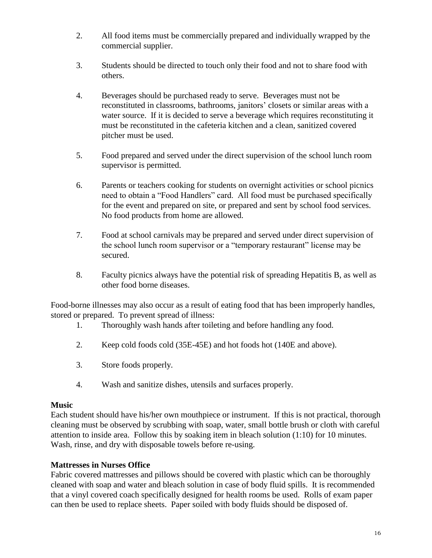- 2. All food items must be commercially prepared and individually wrapped by the commercial supplier.
- 3. Students should be directed to touch only their food and not to share food with others.
- 4. Beverages should be purchased ready to serve. Beverages must not be reconstituted in classrooms, bathrooms, janitors' closets or similar areas with a water source. If it is decided to serve a beverage which requires reconstituting it must be reconstituted in the cafeteria kitchen and a clean, sanitized covered pitcher must be used.
- 5. Food prepared and served under the direct supervision of the school lunch room supervisor is permitted.
- 6. Parents or teachers cooking for students on overnight activities or school picnics need to obtain a "Food Handlers" card. All food must be purchased specifically for the event and prepared on site, or prepared and sent by school food services. No food products from home are allowed.
- 7. Food at school carnivals may be prepared and served under direct supervision of the school lunch room supervisor or a "temporary restaurant" license may be secured.
- 8. Faculty picnics always have the potential risk of spreading Hepatitis B, as well as other food borne diseases.

Food-borne illnesses may also occur as a result of eating food that has been improperly handles, stored or prepared. To prevent spread of illness:

- 1. Thoroughly wash hands after toileting and before handling any food.
- 2. Keep cold foods cold (35E-45E) and hot foods hot (140E and above).
- 3. Store foods properly.
- 4. Wash and sanitize dishes, utensils and surfaces properly.

#### **Music**

Each student should have his/her own mouthpiece or instrument. If this is not practical, thorough cleaning must be observed by scrubbing with soap, water, small bottle brush or cloth with careful attention to inside area. Follow this by soaking item in bleach solution (1:10) for 10 minutes. Wash, rinse, and dry with disposable towels before re-using.

# **Mattresses in Nurses Office**

Fabric covered mattresses and pillows should be covered with plastic which can be thoroughly cleaned with soap and water and bleach solution in case of body fluid spills. It is recommended that a vinyl covered coach specifically designed for health rooms be used. Rolls of exam paper can then be used to replace sheets. Paper soiled with body fluids should be disposed of.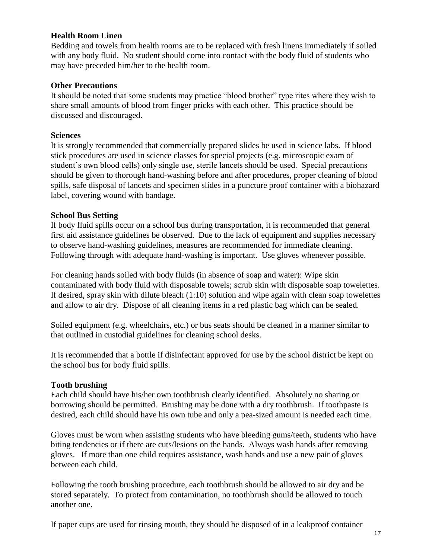#### **Health Room Linen**

Bedding and towels from health rooms are to be replaced with fresh linens immediately if soiled with any body fluid. No student should come into contact with the body fluid of students who may have preceded him/her to the health room.

#### **Other Precautions**

It should be noted that some students may practice "blood brother" type rites where they wish to share small amounts of blood from finger pricks with each other. This practice should be discussed and discouraged.

#### **Sciences**

It is strongly recommended that commercially prepared slides be used in science labs. If blood stick procedures are used in science classes for special projects (e.g. microscopic exam of student's own blood cells) only single use, sterile lancets should be used. Special precautions should be given to thorough hand-washing before and after procedures, proper cleaning of blood spills, safe disposal of lancets and specimen slides in a puncture proof container with a biohazard label, covering wound with bandage.

#### **School Bus Setting**

If body fluid spills occur on a school bus during transportation, it is recommended that general first aid assistance guidelines be observed. Due to the lack of equipment and supplies necessary to observe hand-washing guidelines, measures are recommended for immediate cleaning. Following through with adequate hand-washing is important. Use gloves whenever possible.

For cleaning hands soiled with body fluids (in absence of soap and water): Wipe skin contaminated with body fluid with disposable towels; scrub skin with disposable soap towelettes. If desired, spray skin with dilute bleach (1:10) solution and wipe again with clean soap towelettes and allow to air dry. Dispose of all cleaning items in a red plastic bag which can be sealed.

Soiled equipment (e.g. wheelchairs, etc.) or bus seats should be cleaned in a manner similar to that outlined in custodial guidelines for cleaning school desks.

It is recommended that a bottle if disinfectant approved for use by the school district be kept on the school bus for body fluid spills.

#### **Tooth brushing**

Each child should have his/her own toothbrush clearly identified. Absolutely no sharing or borrowing should be permitted. Brushing may be done with a dry toothbrush. If toothpaste is desired, each child should have his own tube and only a pea-sized amount is needed each time.

Gloves must be worn when assisting students who have bleeding gums/teeth, students who have biting tendencies or if there are cuts/lesions on the hands. Always wash hands after removing gloves. If more than one child requires assistance, wash hands and use a new pair of gloves between each child.

Following the tooth brushing procedure, each toothbrush should be allowed to air dry and be stored separately. To protect from contamination, no toothbrush should be allowed to touch another one.

If paper cups are used for rinsing mouth, they should be disposed of in a leakproof container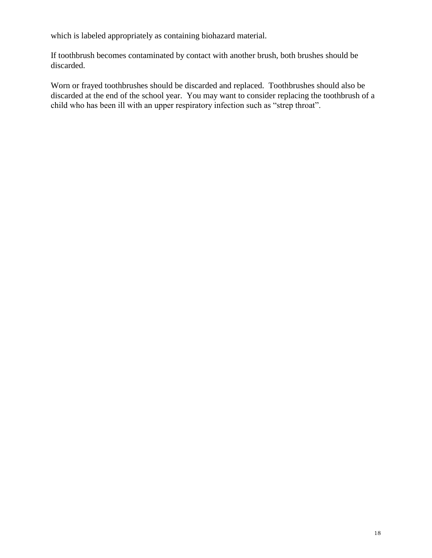which is labeled appropriately as containing biohazard material.

If toothbrush becomes contaminated by contact with another brush, both brushes should be discarded.

Worn or frayed toothbrushes should be discarded and replaced. Toothbrushes should also be discarded at the end of the school year. You may want to consider replacing the toothbrush of a child who has been ill with an upper respiratory infection such as "strep throat".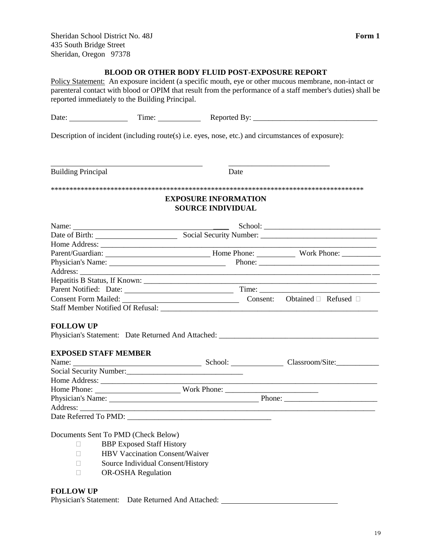#### **BLOOD OR OTHER BODY FLUID POST-EXPOSURE REPORT**

Policy Statement: An exposure incident (a specific mouth, eye or other mucous membrane, non-intact or parenteral contact with blood or OPIM that result from the performance of a staff member's duties) shall be reported immediately to the Building Principal.

| Description of incident (including route(s) i.e. eyes, nose, etc.) and circumstances of exposure): |                                                         |                                                                                                                                                                                                                                |
|----------------------------------------------------------------------------------------------------|---------------------------------------------------------|--------------------------------------------------------------------------------------------------------------------------------------------------------------------------------------------------------------------------------|
| <b>Building Principal</b>                                                                          | Date                                                    |                                                                                                                                                                                                                                |
|                                                                                                    |                                                         |                                                                                                                                                                                                                                |
|                                                                                                    | <b>EXPOSURE INFORMATION</b><br><b>SOURCE INDIVIDUAL</b> |                                                                                                                                                                                                                                |
|                                                                                                    |                                                         |                                                                                                                                                                                                                                |
|                                                                                                    |                                                         | Name: School: School: School: School: School: School: School: School: Date of Birth: Social Security Number: Social Security Number: Social Security Number: Social Security Number: Social Security Number: Social Security N |
|                                                                                                    |                                                         |                                                                                                                                                                                                                                |
|                                                                                                    |                                                         |                                                                                                                                                                                                                                |
|                                                                                                    |                                                         |                                                                                                                                                                                                                                |
|                                                                                                    |                                                         |                                                                                                                                                                                                                                |
|                                                                                                    |                                                         |                                                                                                                                                                                                                                |
|                                                                                                    |                                                         |                                                                                                                                                                                                                                |
|                                                                                                    |                                                         |                                                                                                                                                                                                                                |
|                                                                                                    |                                                         |                                                                                                                                                                                                                                |
|                                                                                                    |                                                         |                                                                                                                                                                                                                                |
| <b>FOLLOW UP</b>                                                                                   |                                                         |                                                                                                                                                                                                                                |
|                                                                                                    |                                                         | Physician's Statement: Date Returned And Attached: ______________________________                                                                                                                                              |
| <b>EXPOSED STAFF MEMBER</b>                                                                        |                                                         |                                                                                                                                                                                                                                |
|                                                                                                    |                                                         | Name: <u>Classroom/Site:</u>                                                                                                                                                                                                   |
| Social Security Number:<br><u> Social Security Number:</u>                                         |                                                         |                                                                                                                                                                                                                                |
|                                                                                                    |                                                         |                                                                                                                                                                                                                                |
|                                                                                                    |                                                         |                                                                                                                                                                                                                                |
|                                                                                                    |                                                         |                                                                                                                                                                                                                                |
|                                                                                                    |                                                         |                                                                                                                                                                                                                                |
| Date Referred To PMD:                                                                              |                                                         |                                                                                                                                                                                                                                |

Documents Sent To PMD (Check Below)

- **BBP Exposed Staff History**
- **HBV Vaccination Consent/Waiver**
- □ Source Individual Consent/History
- D OR-OSHA Regulation

#### **FOLLOW UP**

Physician's Statement: Date Returned And Attached: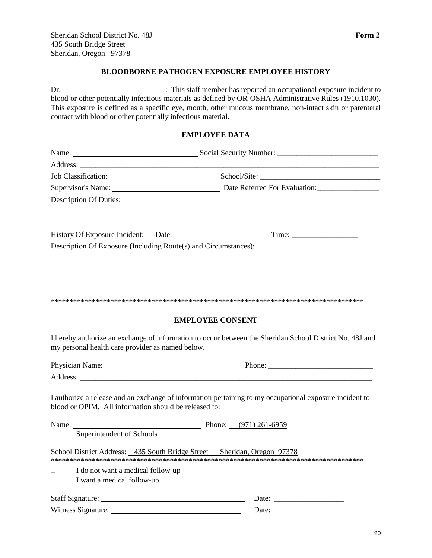#### **BLOODBORNE PATHOGEN EXPOSURE EMPLOYEE HISTORY**

Dr. : This staff member has reported an occupational exposure incident to blood or other potentially infectious materials as defined by OR-OSHA Administrative Rules (1910.1030). This exposure is defined as a specific eye, mouth, other mucous membrane, non-intact skin or parenteral contact with blood or other potentially infectious material. **EMPLOYEE DATA** Name: Social Security Number: \_\_\_\_\_\_\_\_\_\_\_\_\_\_\_\_\_\_\_\_\_\_\_\_\_\_ Address: Job Classification: School/Site: \_\_\_\_\_\_\_\_\_\_\_\_\_\_\_\_\_\_\_\_\_\_\_\_\_\_\_\_\_\_\_ Supervisor's Name: Date Referred For Evaluation:\_\_\_\_\_\_\_\_\_\_\_\_\_\_\_\_ Description Of Duties: History Of Exposure Incident: Date: Time: \_\_\_\_\_\_\_\_\_\_\_\_\_\_\_\_\_ Description Of Exposure (Including Route(s) and Circumstances): \*\*\*\*\*\*\*\*\*\*\*\*\*\*\*\*\*\*\*\*\*\*\*\*\*\*\*\*\*\*\*\*\*\*\*\*\*\*\*\*\*\*\*\*\*\*\*\*\*\*\*\*\*\*\*\*\*\*\*\*\*\*\*\*\*\*\*\*\*\*\*\*\*\*\*\*\*\*\*\*\*\*\*\* **EMPLOYEE CONSENT** I hereby authorize an exchange of information to occur between the Sheridan School District No. 48J and my personal health care provider as named below. Physician Name: Phone: Address: I authorize a release and an exchange of information pertaining to my occupational exposure incident to blood or OPIM. All information should be released to: Name: Phone: (971) 261-6959 Superintendent of Schools School District Address: 435 South Bridge Street Sheridan, Oregon 97378 \*\*\*\*\*\*\*\*\*\*\*\*\*\*\*\*\*\*\*\*\*\*\*\*\*\*\*\*\*\*\*\*\*\*\*\*\*\*\*\*\*\*\*\*\*\*\*\*\*\*\*\*\*\*\*\*\*\*\*\*\*\*\*\*\*\*\*\*\*\*\*\*\*\*\*\*\*\*\*\*\*\*\*\*  $\Box$  I do not want a medical follow-up  $\Box$  I want a medical follow-up Staff Signature: Date: \_\_\_\_\_\_\_\_\_\_\_\_\_\_\_\_\_\_

Witness Signature: Date: \_\_\_\_\_\_\_\_\_\_\_\_\_\_\_\_\_\_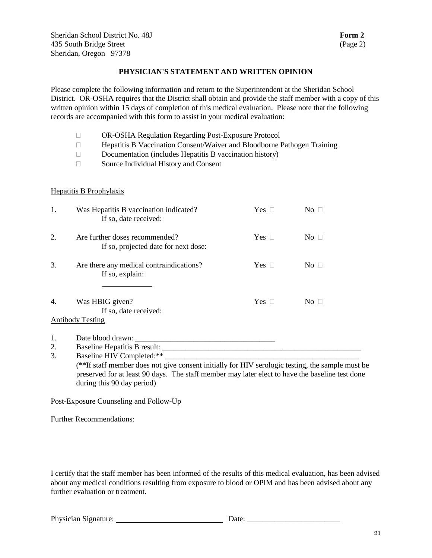Sheridan School District No. 48J **Form 2 Form 2** 435 South Bridge Street (Page 2) Sheridan, Oregon 97378

#### **PHYSICIAN'S STATEMENT AND WRITTEN OPINION**

Please complete the following information and return to the Superintendent at the Sheridan School District. OR-OSHA requires that the District shall obtain and provide the staff member with a copy of this written opinion within 15 days of completion of this medical evaluation. Please note that the following records are accompanied with this form to assist in your medical evaluation:

- OR-OSHA Regulation Regarding Post-Exposure Protocol
- Hepatitis B Vaccination Consent/Waiver and Bloodborne Pathogen Training
- $\Box$  Documentation (includes Hepatitis B vaccination history)
- □ Source Individual History and Consent

#### Hepatitis B Prophylaxis

| 1.             | Was Hepatitis B vaccination indicated?<br>If so, date received:                | Yes $\Box$ | No              |
|----------------|--------------------------------------------------------------------------------|------------|-----------------|
| 2.             | Are further doses recommended?<br>If so, projected date for next dose:         | Yes $\Box$ | No <sub>1</sub> |
| 3.             | Are there any medical contraindications?<br>If so, explain:                    | Yes $\Box$ | No <sub>1</sub> |
| 4.             | Was HBIG given?<br>If so, date received:<br><b>Antibody Testing</b>            | Yes $\Box$ | No <sub>1</sub> |
| 1.<br>2.<br>3. | Date blood drawn:<br>Baseline Hepatitis B result:<br>Baseline HIV Completed:** |            |                 |

(\*\*If staff member does not give consent initially for HIV serologic testing, the sample must be preserved for at least 90 days. The staff member may later elect to have the baseline test done during this 90 day period)

#### Post-Exposure Counseling and Follow-Up

Further Recommendations:

I certify that the staff member has been informed of the results of this medical evaluation, has been advised about any medical conditions resulting from exposure to blood or OPIM and has been advised about any further evaluation or treatment.

Physician Signature: Date: \_\_\_\_\_\_\_\_\_\_\_\_\_\_\_\_\_\_\_\_\_\_\_\_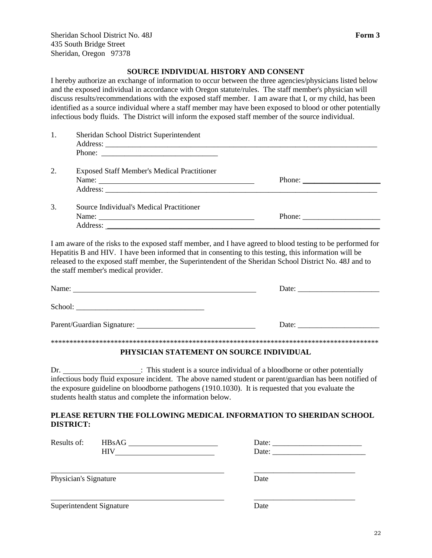#### **SOURCE INDIVIDUAL HISTORY AND CONSENT**

I hereby authorize an exchange of information to occur between the three agencies/physicians listed below and the exposed individual in accordance with Oregon statute/rules. The staff member's physician will discuss results/recommendations with the exposed staff member. I am aware that I, or my child, has been identified as a source individual where a staff member may have been exposed to blood or other potentially infectious body fluids. The District will inform the exposed staff member of the source individual.

|    | Sheridan School District Superintendent            |                                                           |  |
|----|----------------------------------------------------|-----------------------------------------------------------|--|
|    |                                                    |                                                           |  |
|    |                                                    |                                                           |  |
| 2. | <b>Exposed Staff Member's Medical Practitioner</b> |                                                           |  |
|    | Name:                                              | Phone: $\frac{1}{\sqrt{1-\frac{1}{2}} \cdot \frac{1}{2}}$ |  |
|    |                                                    |                                                           |  |
| 3. | Source Individual's Medical Practitioner           |                                                           |  |
|    | Name:                                              | Phone:                                                    |  |

I am aware of the risks to the exposed staff member, and I have agreed to blood testing to be performed for Hepatitis B and HIV. I have been informed that in consenting to this testing, this information will be released to the exposed staff member, the Superintendent of the Sheridan School District No. 48J and to the staff member's medical provider.

| Name:                                                            | Date: |
|------------------------------------------------------------------|-------|
| School:<br><u> 1989 - John Stone, maria al II-lea (h. 1989).</u> |       |
| Parent/Guardian Signature:                                       | Date: |
|                                                                  |       |

#### **PHYSICIAN STATEMENT ON SOURCE INDIVIDUAL**

Dr. : This student is a source individual of a bloodborne or other potentially infectious body fluid exposure incident. The above named student or parent/guardian has been notified of the exposure guideline on bloodborne pathogens (1910.1030). It is requested that you evaluate the students health status and complete the information below.

#### **PLEASE RETURN THE FOLLOWING MEDICAL INFORMATION TO SHERIDAN SCHOOL DISTRICT:**

 $\overline{\phantom{a}}$  , and the contract of the contract of the contract of the contract of the contract of the contract of the contract of the contract of the contract of the contract of the contract of the contract of the contrac

\_\_\_\_\_\_\_\_\_\_\_\_\_\_\_\_\_\_\_\_\_\_\_\_\_\_

Results of: HBsAG Date: \_\_\_\_\_\_\_\_\_\_\_\_\_\_\_\_\_\_\_\_\_\_\_ HIV Date: \_\_\_\_\_\_\_\_\_\_\_\_\_\_\_\_\_\_\_\_\_\_\_\_

Address:

Physician's Signature Date

Superintendent Signature Date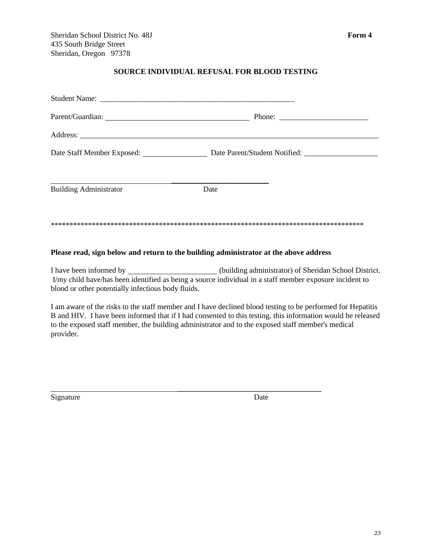#### **SOURCE INDIVIDUAL REFUSAL FOR BLOOD TESTING**

|                               |      | Phone: $\frac{1}{\sqrt{1-\frac{1}{2}} \cdot \frac{1}{2}}$ |
|-------------------------------|------|-----------------------------------------------------------|
|                               |      |                                                           |
| Date Staff Member Exposed:    |      | Date Parent/Student Notified:                             |
|                               |      |                                                           |
| <b>Building Administrator</b> | Date |                                                           |
|                               |      |                                                           |
|                               |      |                                                           |

#### **Please read, sign below and return to the building administrator at the above address**

 $\overline{\phantom{a}}$  , where the contract of the contract of the contract of the contract of the contract of the contract of the contract of the contract of the contract of the contract of the contract of the contract of the contr

I have been informed by (building administrator) of Sheridan School District. I/my child have/has been identified as being a source individual in a staff member exposure incident to blood or other potentially infectious body fluids.

I am aware of the risks to the staff member and I have declined blood testing to be performed for Hepatitis B and HIV. I have been informed that if I had consented to this testing, this information would be released to the exposed staff member, the building administrator and to the exposed staff member's medical provider.

Signature Date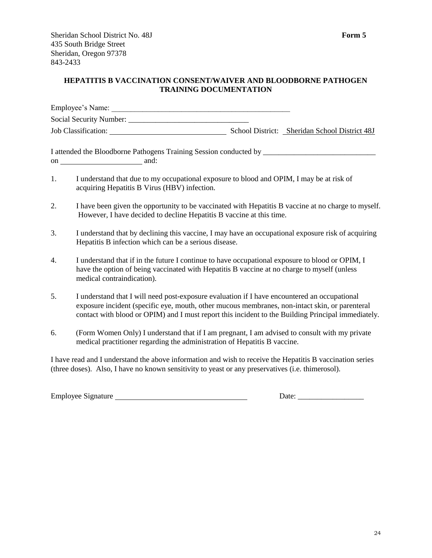#### **HEPATITIS B VACCINATION CONSENT/WAIVER AND BLOODBORNE PATHOGEN TRAINING DOCUMENTATION**

| Employee's Name:        |                                               |
|-------------------------|-----------------------------------------------|
| Social Security Number: |                                               |
| Job Classification:     | School District: Sheridan School District 48J |

I attended the Bloodborne Pathogens Training Session conducted by on and:

- 1. I understand that due to my occupational exposure to blood and OPIM, I may be at risk of acquiring Hepatitis B Virus (HBV) infection.
- 2. I have been given the opportunity to be vaccinated with Hepatitis B vaccine at no charge to myself. However, I have decided to decline Hepatitis B vaccine at this time.
- 3. I understand that by declining this vaccine, I may have an occupational exposure risk of acquiring Hepatitis B infection which can be a serious disease.
- 4. I understand that if in the future I continue to have occupational exposure to blood or OPIM, I have the option of being vaccinated with Hepatitis B vaccine at no charge to myself (unless medical contraindication).
- 5. I understand that I will need post-exposure evaluation if I have encountered an occupational exposure incident (specific eye, mouth, other mucous membranes, non-intact skin, or parenteral contact with blood or OPIM) and I must report this incident to the Building Principal immediately.
- 6. (Form Women Only) I understand that if I am pregnant, I am advised to consult with my private medical practitioner regarding the administration of Hepatitis B vaccine.

I have read and I understand the above information and wish to receive the Hepatitis B vaccination series (three doses). Also, I have no known sensitivity to yeast or any preservatives (i.e. thimerosol).

Employee Signature Date: \_\_\_\_\_\_\_\_\_\_\_\_\_\_\_\_\_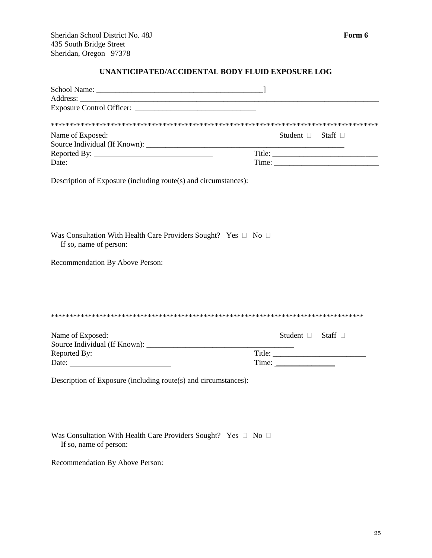#### **UNANTICIPATED/ACCIDENTAL BODY FLUID EXPOSURE LOG**

|                                                                                                    | Student $\Box$ Staff $\Box$        |  |
|----------------------------------------------------------------------------------------------------|------------------------------------|--|
|                                                                                                    |                                    |  |
|                                                                                                    |                                    |  |
| Date: $\frac{1}{\sqrt{1-\frac{1}{2}} \cdot \frac{1}{2}}$                                           |                                    |  |
| Description of Exposure (including route(s) and circumstances):                                    |                                    |  |
| Was Consultation With Health Care Providers Sought? Yes $\Box$ No $\Box$<br>If so, name of person: |                                    |  |
| Recommendation By Above Person:                                                                    |                                    |  |
|                                                                                                    |                                    |  |
|                                                                                                    |                                    |  |
|                                                                                                    |                                    |  |
|                                                                                                    | Student $\Box$ Staff $\Box$        |  |
|                                                                                                    |                                    |  |
| Reported By:                                                                                       |                                    |  |
|                                                                                                    | $Time: \underline{\qquad \qquad }$ |  |
| Description of Exposure (including route(s) and circumstances):                                    |                                    |  |

Was Consultation With Health Care Providers Sought? Yes  $\Box$  No  $\Box$ If so, name of person:

Recommendation By Above Person: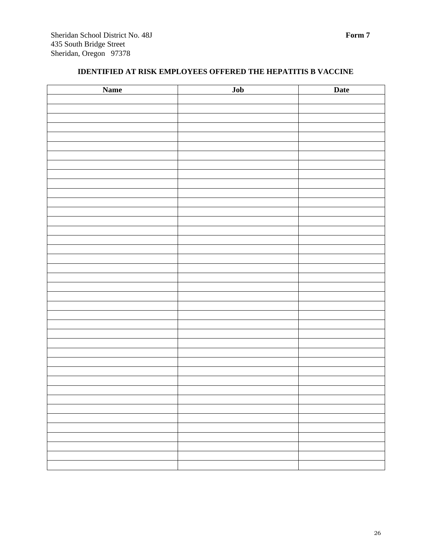# **IDENTIFIED AT RISK EMPLOYEES OFFERED THE HEPATITIS B VACCINE**

| <b>Name</b> | Job | <b>Date</b> |
|-------------|-----|-------------|
|             |     |             |
|             |     |             |
|             |     |             |
|             |     |             |
|             |     |             |
|             |     |             |
|             |     |             |
|             |     |             |
|             |     |             |
|             |     |             |
|             |     |             |
|             |     |             |
|             |     |             |
|             |     |             |
|             |     |             |
|             |     |             |
|             |     |             |
|             |     |             |
|             |     |             |
|             |     |             |
|             |     |             |
|             |     |             |
|             |     |             |
|             |     |             |
|             |     |             |
|             |     |             |
|             |     |             |
|             |     |             |
|             |     |             |
|             |     |             |
|             |     |             |
|             |     |             |
|             |     |             |
|             |     |             |
|             |     |             |
|             |     |             |
|             |     |             |
|             |     |             |
|             |     |             |
|             |     |             |